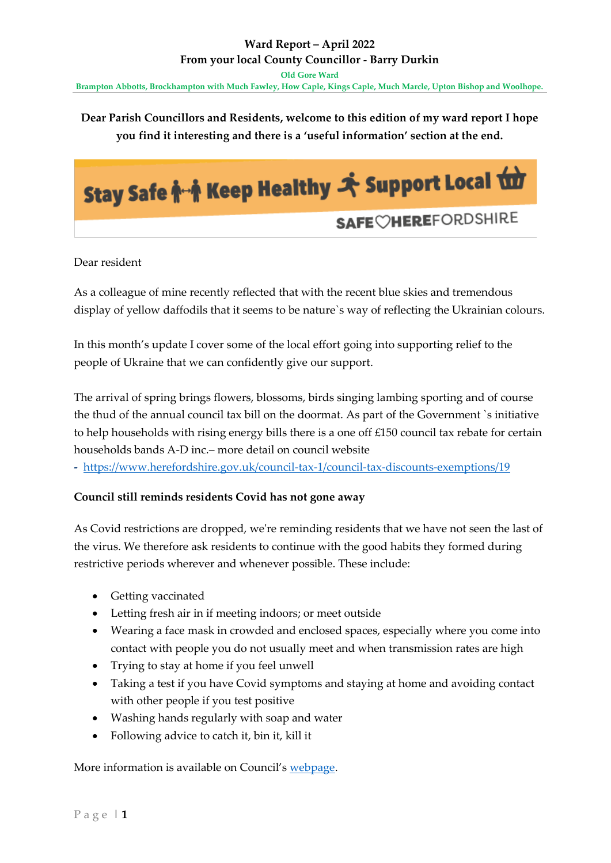# **Dear Parish Councillors and Residents, welcome to this edition of my ward report I hope you find it interesting and there is a 'useful information' section at the end.**



Dear resident

As a colleague of mine recently reflected that with the recent blue skies and tremendous display of yellow daffodils that it seems to be nature`s way of reflecting the Ukrainian colours.

In this month's update I cover some of the local effort going into supporting relief to the people of Ukraine that we can confidently give our support.

The arrival of spring brings flowers, blossoms, birds singing lambing sporting and of course the thud of the annual council tax bill on the doormat. As part of the Government `s initiative to help households with rising energy bills there is a one off £150 council tax rebate for certain households bands A-D inc.– more detail on council website

**-** <https://www.herefordshire.gov.uk/council-tax-1/council-tax-discounts-exemptions/19>

### **Council still reminds residents Covid has not gone away**

As Covid restrictions are dropped, we're reminding residents that we have not seen the last of the virus. We therefore ask residents to continue with the good habits they formed during restrictive periods wherever and whenever possible. These include:

- Getting vaccinated
- Letting fresh air in if meeting indoors; or meet outside
- Wearing a face mask in crowded and enclosed spaces, especially where you come into contact with people you do not usually meet and when transmission rates are high
- Trying to stay at home if you feel unwell
- Taking a test if you have Covid symptoms and staying at home and avoiding contact with other people if you test positive
- Washing hands regularly with soap and water
- Following advice to catch it, bin it, kill it

More information is available on Council's [webpage.](https://www.herefordshire.gov.uk/coronavirus-3)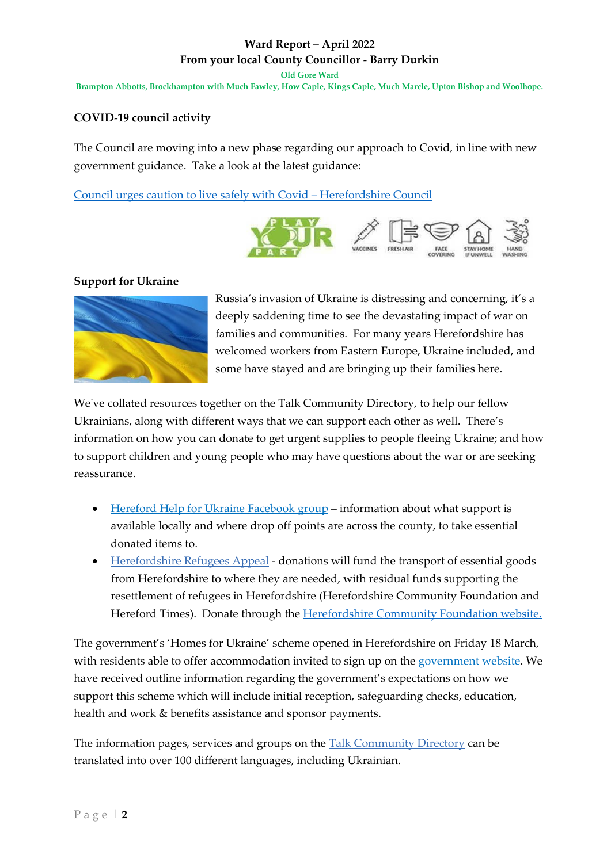# **COVID-19 council activity**

The Council are moving into a new phase regarding our approach to Covid, in line with new government guidance. Take a look at the latest guidance:

[Council urges caution to live safely with Covid](https://www.herefordshire.gov.uk/news/article/1329/council-urges-caution-to-live-safely-with-covid) – Herefordshire Council



### **Support for Ukraine**



Russia's invasion of Ukraine is distressing and concerning, it's a deeply saddening time to see the devastating impact of war on families and communities. For many years Herefordshire has welcomed workers from Eastern Europe, Ukraine included, and some have stayed and are bringing up their families here.

We've collated resources together on the Talk Community Directory, to help our fellow Ukrainians, along with different ways that we can support each other as well. There's information on how you can donate to get urgent supplies to people fleeing Ukraine; and how to support children and young people who may have questions about the war or are seeking reassurance.

- [Hereford Help for Ukraine Facebook group](http://www.facebook.com/groups/502987708103279/) information about what support is available locally and where drop off points are across the county, to take essential donated items to.
- [Herefordshire Refugees Appeal](https://www.herefordshirecf.org/#refugee) donations will fund the transport of essential goods from Herefordshire to where they are needed, with residual funds supporting the resettlement of refugees in Herefordshire (Herefordshire Community Foundation and Hereford Times). Donate through the [Herefordshire Community Foundation website.](https://www.herefordshirecf.org/)

The government's 'Homes for Ukraine' scheme opened in Herefordshire on Friday 18 March, with residents able to offer accommodation invited to sign up on the [government website.](https://www.gov.uk/register-interest-homes-ukraine) We have received outline information regarding the government's expectations on how we support this scheme which will include initial reception, safeguarding checks, education, health and work & benefits assistance and sponsor payments.

The information pages, services and groups on the [Talk Community Directory](http://www.talkcommunitydirectory.org/) can be translated into over 100 different languages, including Ukrainian.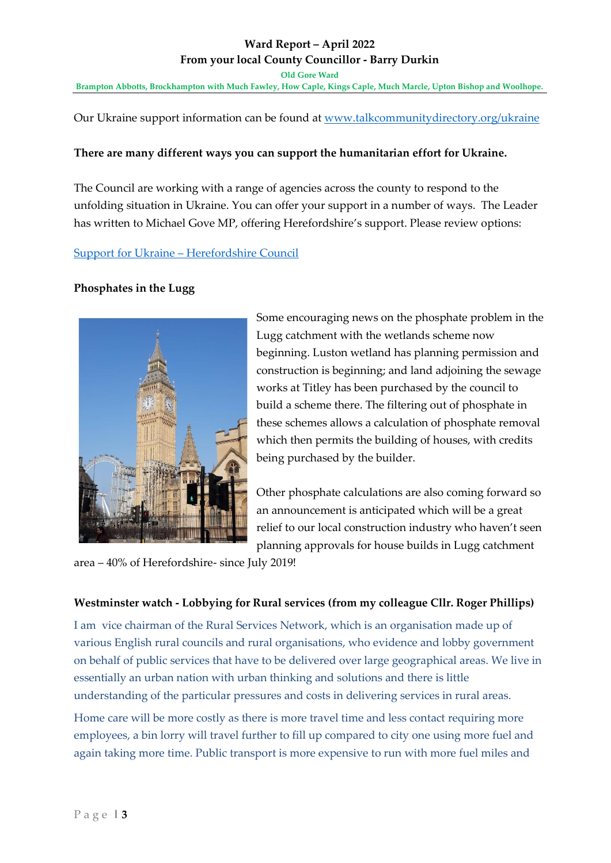**Old Gore Ward**

**Brampton Abbotts, Brockhampton with Much Fawley, How Caple, Kings Caple, Much Marcle, Upton Bishop and Woolhope.** 

Our Ukraine support information can be found at [www.talkcommunitydirectory.org/ukraine](https://www.talkcommunitydirectory.org/ukraine)

#### **There are many different ways you can support the humanitarian effort for Ukraine.**

The Council are working with a range of agencies across the county to respond to the unfolding situation in Ukraine. You can offer your support in a number of ways. The Leader has written to Michael Gove MP, offering Herefordshire's support. Please review options:

#### Support for Ukraine – [Herefordshire Council](https://www.herefordshire.gov.uk/news/article/1312/support-for-ukraine)

### **Phosphates in the Lugg**



Some encouraging news on the phosphate problem in the Lugg catchment with the wetlands scheme now beginning. Luston wetland has planning permission and construction is beginning; and land adjoining the sewage works at Titley has been purchased by the council to build a scheme there. The filtering out of phosphate in these schemes allows a calculation of phosphate removal which then permits the building of houses, with credits being purchased by the builder.

Other phosphate calculations are also coming forward so an announcement is anticipated which will be a great relief to our local construction industry who haven't seen planning approvals for house builds in Lugg catchment

area – 40% of Herefordshire- since July 2019!

### **Westminster watch - Lobbying for Rural services (from my colleague Cllr. Roger Phillips)**

I am vice chairman of the Rural Services Network, which is an organisation made up of various English rural councils and rural organisations, who evidence and lobby government on behalf of public services that have to be delivered over large geographical areas. We live in essentially an urban nation with urban thinking and solutions and there is little understanding of the particular pressures and costs in delivering services in rural areas.

Home care will be more costly as there is more travel time and less contact requiring more employees, a bin lorry will travel further to fill up compared to city one using more fuel and again taking more time. Public transport is more expensive to run with more fuel miles and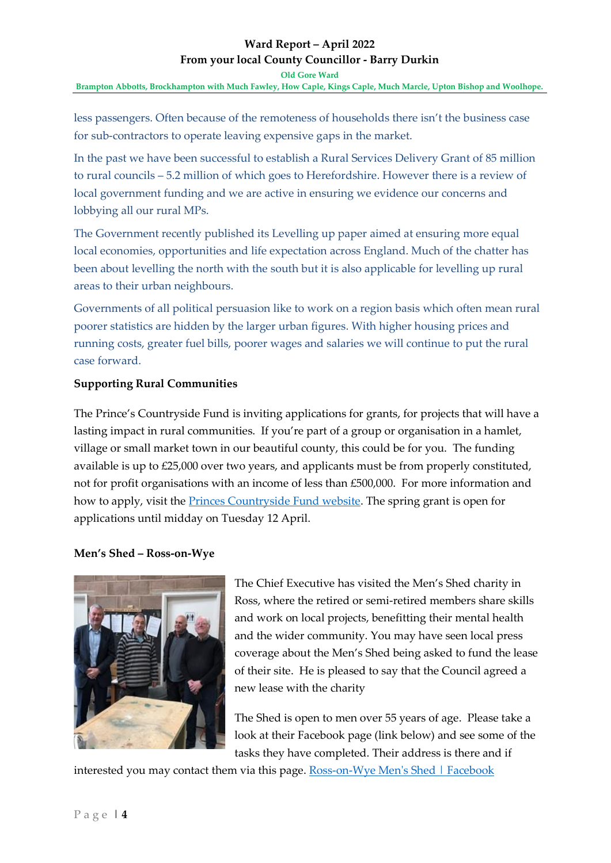**Old Gore Ward Brampton Abbotts, Brockhampton with Much Fawley, How Caple, Kings Caple, Much Marcle, Upton Bishop and Woolhope.** 

less passengers. Often because of the remoteness of households there isn't the business case for sub-contractors to operate leaving expensive gaps in the market.

In the past we have been successful to establish a Rural Services Delivery Grant of 85 million to rural councils – 5.2 million of which goes to Herefordshire. However there is a review of local government funding and we are active in ensuring we evidence our concerns and lobbying all our rural MPs.

The Government recently published its Levelling up paper aimed at ensuring more equal local economies, opportunities and life expectation across England. Much of the chatter has been about levelling the north with the south but it is also applicable for levelling up rural areas to their urban neighbours.

Governments of all political persuasion like to work on a region basis which often mean rural poorer statistics are hidden by the larger urban figures. With higher housing prices and running costs, greater fuel bills, poorer wages and salaries we will continue to put the rural case forward.

## **Supporting Rural Communities**

The Prince's Countryside Fund is inviting applications for grants, for projects that will have a lasting impact in rural communities. If you're part of a group or organisation in a hamlet, village or small market town in our beautiful county, this could be for you. The funding available is up to £25,000 over two years, and applicants must be from properly constituted, not for profit organisations with an income of less than £500,000. For more information and how to apply, visit the [Princes Countryside Fund website.](https://www.princescountrysidefund.org.uk/how-we-help/rural-communities/supporting-rural-communities/) The spring grant is open for applications until midday on Tuesday 12 April.

### **Men's Shed – Ross-on-Wye**



The Chief Executive has visited the Men's Shed charity in Ross, where the retired or semi-retired members share skills and work on local projects, benefitting their mental health and the wider community. You may have seen local press coverage about the Men's Shed being asked to fund the lease of their site. He is pleased to say that the Council agreed a new lease with the charity

The Shed is open to men over 55 years of age. Please take a look at their Facebook page (link below) and see some of the tasks they have completed. Their address is there and if

interested you may contact them via this page. [Ross-on-Wye Men's Shed | Facebook](https://www.facebook.com/RossonWyeMensShed/)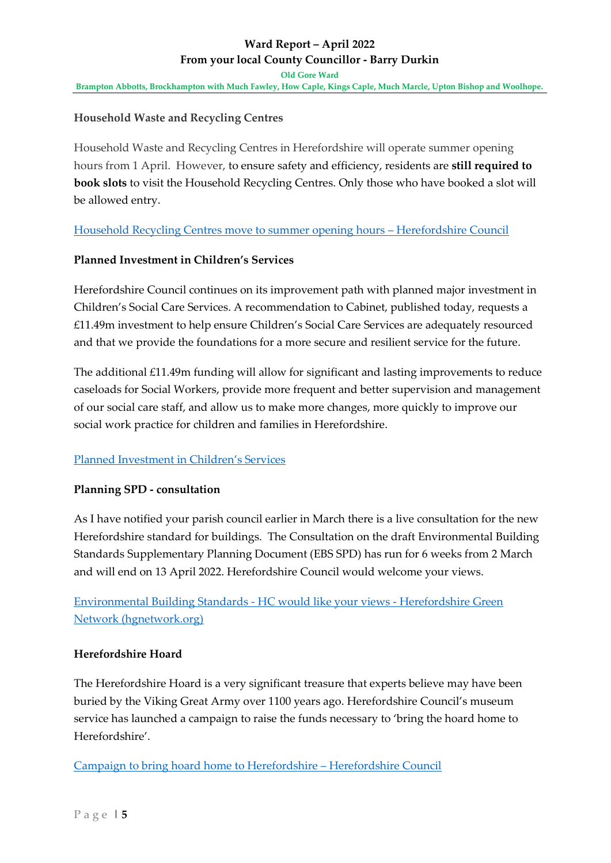### **Household Waste and Recycling Centres**

Household Waste and Recycling Centres in Herefordshire will operate summer opening hours from 1 April. However, to ensure safety and efficiency, residents are **still required to book slots** to visit the Household Recycling Centres. Only those who have booked a slot will be allowed entry.

[Household Recycling Centres move to summer opening hours](https://www.herefordshire.gov.uk/news/article/1328/household-recycling-centres-move-to-summer-opening-hours) – Herefordshire Council

### **Planned Investment in Children's Services**

Herefordshire Council continues on its improvement path with planned major investment in Children's Social Care Services. A recommendation to Cabinet, published today, requests a £11.49m investment to help ensure Children's Social Care Services are adequately resourced and that we provide the foundations for a more secure and resilient service for the future.

The additional £11.49m funding will allow for significant and lasting improvements to reduce caseloads for Social Workers, provide more frequent and better supervision and management of our social care staff, and allow us to make more changes, more quickly to improve our social work practice for children and families in Herefordshire.

### [Planned Investment in Children's Services](https://www.herefordshire.gov.uk/news/article/1326/planned-investment-in-children-s-services)

### **Planning SPD - consultation**

As I have notified your parish council earlier in March there is a live consultation for the new Herefordshire standard for buildings. The Consultation on the draft Environmental Building Standards Supplementary Planning Document (EBS SPD) has run for 6 weeks from 2 March and will end on 13 April 2022. Herefordshire Council would welcome your views.

[Environmental Building Standards -](https://hgnetwork.org/environmental-building-standards-we-would-like-your-views/) HC would like your views - Herefordshire Green [Network \(hgnetwork.org\)](https://hgnetwork.org/environmental-building-standards-we-would-like-your-views/)

### **Herefordshire Hoard**

The Herefordshire Hoard is a very significant treasure that experts believe may have been buried by the Viking Great Army over 1100 years ago. Herefordshire Council's museum service has launched a campaign to raise the funds necessary to 'bring the hoard home to Herefordshire'.

[Campaign to bring hoard home to Herefordshire](https://www.herefordshire.gov.uk/news/article/1327/campaign-to-bring-hoard-home-to-herefordshire) – Herefordshire Council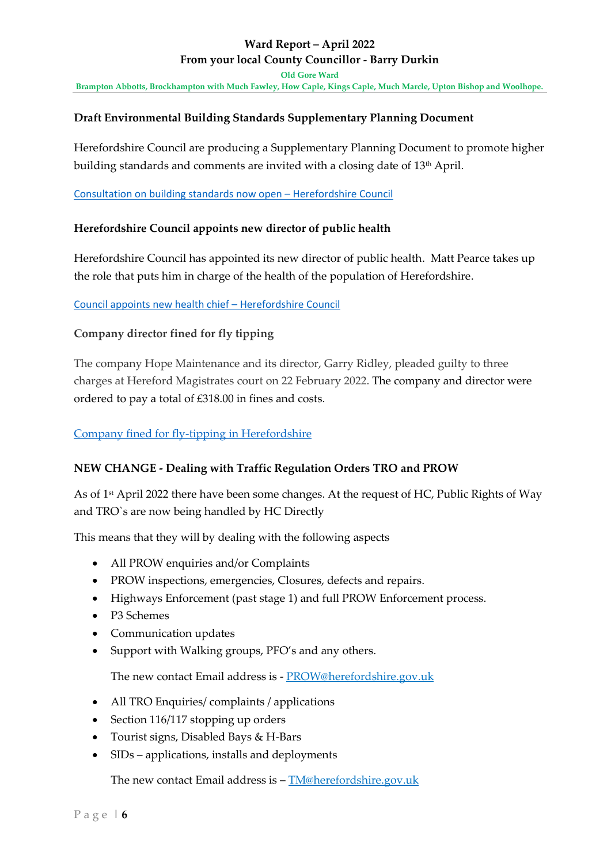**Old Gore Ward**

**Brampton Abbotts, Brockhampton with Much Fawley, How Caple, Kings Caple, Much Marcle, Upton Bishop and Woolhope.** 

### **Draft Environmental Building Standards Supplementary Planning Document**

Herefordshire Council are producing a Supplementary Planning Document to promote higher building standards and comments are invited with a closing date of 13<sup>th</sup> April.

[Consultation on building standards now open](https://www.herefordshire.gov.uk/news/article/1319/consultation-on-building-standards-now-open) – Herefordshire Council

### **Herefordshire Council appoints new director of public health**

Herefordshire Council has appointed its new director of public health. Matt Pearce takes up the role that puts him in charge of the health of the population of Herefordshire.

### [Council appoints new health chief](https://www.herefordshire.gov.uk/news/article/1322/council-appoints-new-health-chief) – Herefordshire Council

### **Company director fined for fly tipping**

The company Hope Maintenance and its director, Garry Ridley, pleaded guilty to three charges at Hereford Magistrates court on 22 February 2022. The company and director were ordered to pay a total of £318.00 in fines and costs.

### [Company fined for fly-tipping in Herefordshire](https://lnks.gd/l/eyJhbGciOiJIUzI1NiJ9.eyJidWxsZXRpbl9saW5rX2lkIjoxMDAsInVyaSI6ImJwMjpjbGljayIsImJ1bGxldGluX2lkIjoiMjAyMjAzMTYuNTQ5OTY2MjEiLCJ1cmwiOiJodHRwczovL3d3dy5oZXJlZm9yZHNoaXJlLmdvdi51ay9uZXdzL2FydGljbGUvMTMyNC9jb21wYW55LWZpbmVkLWZvci1mbHktdGlwcGluZy1pbi1oZXJlZm9yZHNoaXJlIn0.RXuhye2vDJTxrXPXWL2VP7hJSKAGJ3kx2bLAXNnP3UY/s/275802198/br/128189758313-l)

### **NEW CHANGE - Dealing with Traffic Regulation Orders TRO and PROW**

As of 1<sup>st</sup> April 2022 there have been some changes. At the request of HC, Public Rights of Way and TRO`s are now being handled by HC Directly

This means that they will by dealing with the following aspects

- All PROW enquiries and/or Complaints
- PROW inspections, emergencies, Closures, defects and repairs.
- Highways Enforcement (past stage 1) and full PROW Enforcement process.
- P3 Schemes
- Communication updates
- Support with Walking groups, PFO's and any others.

The new contact Email address is - [PROW@herefordshire.gov.uk](mailto:PROW@herefordshire.gov.uk)

- All TRO Enquiries/ complaints / applications
- Section 116/117 stopping up orders
- Tourist signs, Disabled Bays & H-Bars
- SIDs applications, installs and deployments

The new contact Email address is **–** [TM@herefordshire.gov.uk](mailto:TM@herefordshire.gov.uk)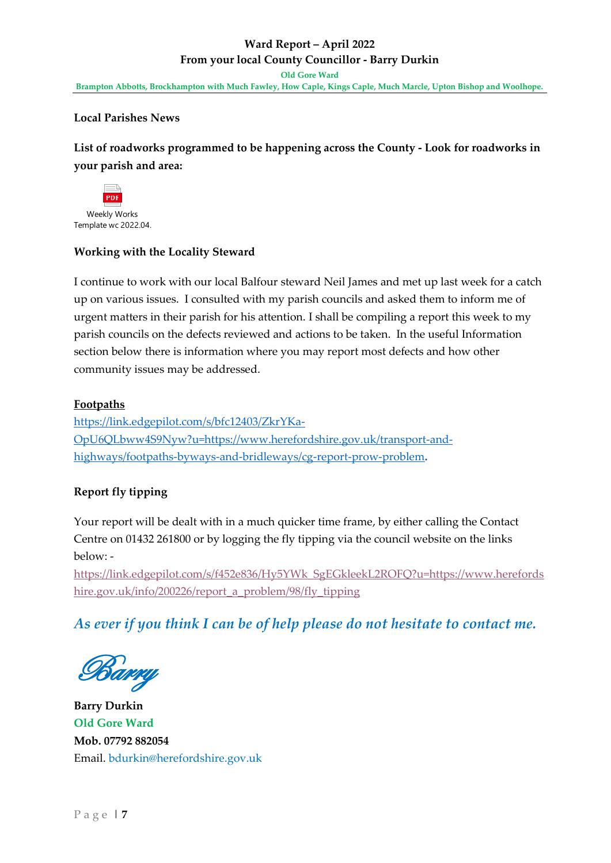**Old Gore Ward Brampton Abbotts, Brockhampton with Much Fawley, How Caple, Kings Caple, Much Marcle, Upton Bishop and Woolhope.** 

### **Local Parishes News**

**List of roadworks programmed to be happening across the County - Look for roadworks in your parish and area:** 



Template wc 2022.04.

### **Working with the Locality Steward**

I continue to work with our local Balfour steward Neil James and met up last week for a catch up on various issues. I consulted with my parish councils and asked them to inform me of urgent matters in their parish for his attention. I shall be compiling a report this week to my parish councils on the defects reviewed and actions to be taken. In the useful Information section below there is information where you may report most defects and how other community issues may be addressed.

### **Footpaths**

[https://link.edgepilot.com/s/bfc12403/ZkrYKa-](https://link.edgepilot.com/s/60700a3e/C-xrzjdST0CulLh82oaWsg?u=https://www.herefordshire.gov.uk/transport-and-highways/footpaths-byways-and-bridleways/cg-report-prow-problem%23_blank)[OpU6QLbww4S9Nyw?u=https://www.herefordshire.gov.uk/transport-and](https://link.edgepilot.com/s/60700a3e/C-xrzjdST0CulLh82oaWsg?u=https://www.herefordshire.gov.uk/transport-and-highways/footpaths-byways-and-bridleways/cg-report-prow-problem%23_blank)[highways/footpaths-byways-and-bridleways/cg-report-prow-problem](https://link.edgepilot.com/s/60700a3e/C-xrzjdST0CulLh82oaWsg?u=https://www.herefordshire.gov.uk/transport-and-highways/footpaths-byways-and-bridleways/cg-report-prow-problem%23_blank)**.**

# **Report fly tipping**

Your report will be dealt with in a much quicker time frame, by either calling the Contact Centre on 01432 261800 or by logging the fly tipping via the council website on the links below: -

[https://link.edgepilot.com/s/f452e836/Hy5YWk\\_SgEGkleekL2ROFQ?u=https://www.herefords](https://link.edgepilot.com/s/f452e836/Hy5YWk_SgEGkleekL2ROFQ?u=https://www.herefordshire.gov.uk/info/200226/report_a_problem/98/fly_tipping) [hire.gov.uk/info/200226/report\\_a\\_problem/98/fly\\_tipping](https://link.edgepilot.com/s/f452e836/Hy5YWk_SgEGkleekL2ROFQ?u=https://www.herefordshire.gov.uk/info/200226/report_a_problem/98/fly_tipping)

*As ever if you think I can be of help please do not hesitate to contact me.*

Barry

**Barry Durkin Old Gore Ward Mob. 07792 882054** Email. [bdurkin@herefordshire.gov.uk](mailto:bdurkin@herefordshire.gov.uk)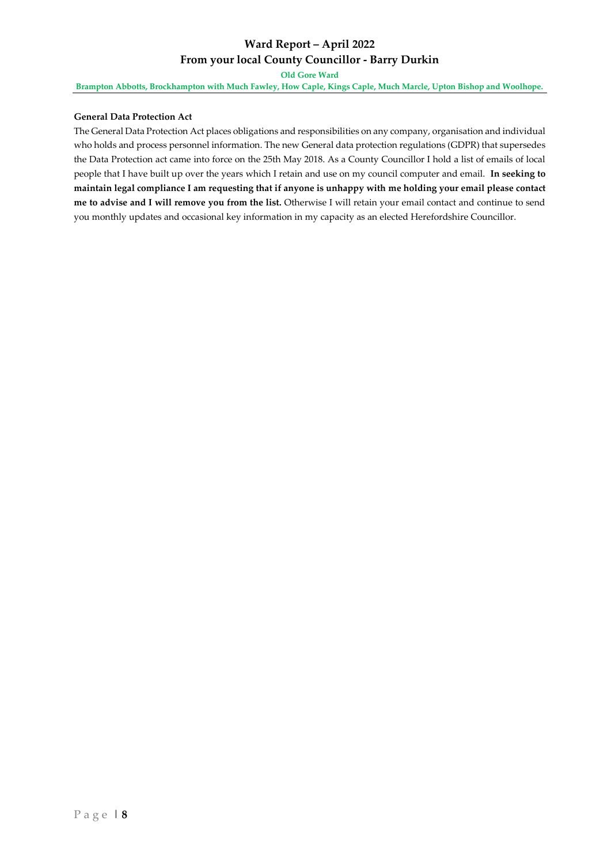**Old Gore Ward**

**Brampton Abbotts, Brockhampton with Much Fawley, How Caple, Kings Caple, Much Marcle, Upton Bishop and Woolhope.** 

#### **General Data Protection Act**

The General Data Protection Act places obligations and responsibilities on any company, organisation and individual who holds and process personnel information. The new General data protection regulations (GDPR) that supersedes the Data Protection act came into force on the 25th May 2018. As a County Councillor I hold a list of emails of local people that I have built up over the years which I retain and use on my council computer and email. **In seeking to maintain legal compliance I am requesting that if anyone is unhappy with me holding your email please contact me to advise and I will remove you from the list.** Otherwise I will retain your email contact and continue to send you monthly updates and occasional key information in my capacity as an elected Herefordshire Councillor.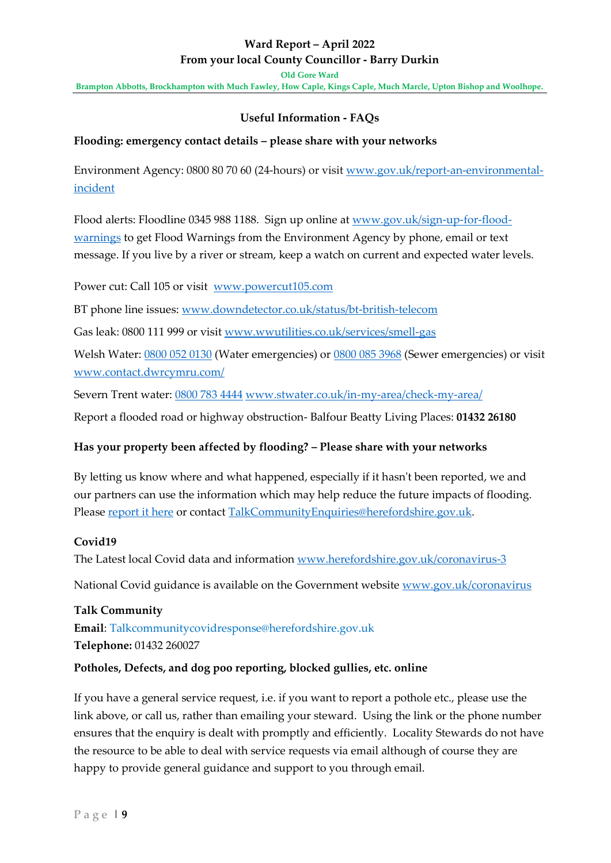**Old Gore Ward**

**Brampton Abbotts, Brockhampton with Much Fawley, How Caple, Kings Caple, Much Marcle, Upton Bishop and Woolhope.** 

### **Useful Information - FAQs**

### **Flooding: emergency contact details – please share with your networks**

Environment Agency: 0800 80 70 60 (24-hours) or visit [www.gov.uk/report-an-environmental](http://www.gov.uk/report-an-environmental-incident)[incident](http://www.gov.uk/report-an-environmental-incident)

Flood alerts: Floodline 0345 988 1188. Sign up online at [www.gov.uk/sign-up-for-flood](http://www.gov.uk/sign-up-for-flood-warnings)[warnings](http://www.gov.uk/sign-up-for-flood-warnings) to get Flood Warnings from the Environment Agency by phone, email or text message. If you live by a river or stream, keep a watch on current and expected water levels.

Power cut: Call 105 or visit [www.powercut105.com](http://www.powercut105.com/)

BT phone line issues: [www.downdetector.co.uk/status/bt-british-telecom](http://www.downdetector.co.uk/status/bt-british-telecom)

Gas leak: 0800 111 999 or visit [www.wwutilities.co.uk/services/smell-gas](http://www.wwutilities.co.uk/services/smell-gas/)

Welsh Water: [0800 052 0130](tel:08000520130) (Water emergencies) or [0800 085 3968](tel:08000853968) (Sewer emergencies) or visit [www.contact.dwrcymru.com/](http://www.contact.dwrcymru.com/)

Severn Trent water: [0800 783 4444](tel:08007834444) [www.stwater.co.uk/in-my-area/check-my-area/](http://www.stwater.co.uk/in-my-area/check-my-area/)

Report a flooded road or highway obstruction- Balfour Beatty Living Places: **01432 26180**

### **Has your property been affected by flooding? – Please share with your networks**

By letting us know where and what happened, especially if it hasn't been reported, we and our partners can use the information which may help reduce the future impacts of flooding. Please [report it here](https://myaccount.herefordshire.gov.uk/record-a-flooding-incident) or contact [TalkCommunityEnquiries@herefordshire.gov.uk.](mailto:TalkCommunityEnquiries@herefordshire.gov.uk)

### **Covid19**

The Latest local Covid data and information [www.herefordshire.gov.uk/coronavirus-3](http://www.herefordshire.gov.uk/coronavirus-3)

National Covid guidance is available on the Government website [www.gov.uk/coronavirus](http://www.gov.uk/coronavirus)

**Talk Community Email**: [Talkcommunitycovidresponse@herefordshire.gov.uk](mailto:Talkcommunitycovidresponse@herefordshire.gov.uk) **Telephone:** 01432 260027

### **Potholes, Defects, and dog poo reporting, blocked gullies, etc. online**

If you have a general service request, i.e. if you want to report a pothole etc., please use the link above, or call us, rather than emailing your steward. Using the link or the phone number ensures that the enquiry is dealt with promptly and efficiently. Locality Stewards do not have the resource to be able to deal with service requests via email although of course they are happy to provide general guidance and support to you through email.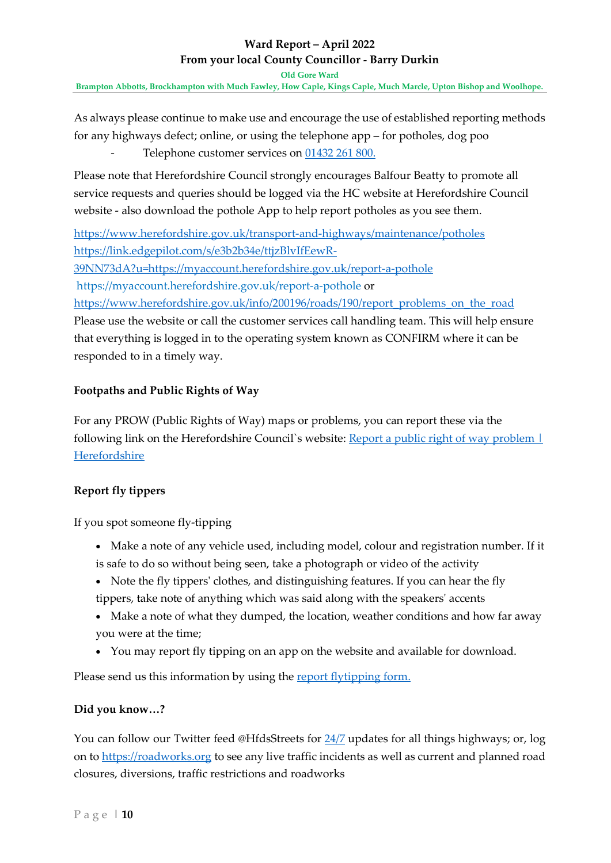**Old Gore Ward**

**Brampton Abbotts, Brockhampton with Much Fawley, How Caple, Kings Caple, Much Marcle, Upton Bishop and Woolhope.** 

As always please continue to make use and encourage the use of established reporting methods for any highways defect; online, or using the telephone app – for potholes, dog poo

Telephone customer services on [01432 261 800.](tel:01432%20261%20800)

Please note that Herefordshire Council strongly encourages Balfour Beatty to promote all service requests and queries should be logged via the HC website at Herefordshire Council website - also download the pothole App to help report potholes as you see them.

<https://www.herefordshire.gov.uk/transport-and-highways/maintenance/potholes> [https://link.edgepilot.com/s/e3b2b34e/ttjzBlvIfEewR-](https://link.edgepilot.com/s/e3b2b34e/ttjzBlvIfEewR-39NN73dA?u=https://myaccount.herefordshire.gov.uk/report-a-pothole)

[39NN73dA?u=https://myaccount.herefordshire.gov.uk/report-a-pothole](https://link.edgepilot.com/s/e3b2b34e/ttjzBlvIfEewR-39NN73dA?u=https://myaccount.herefordshire.gov.uk/report-a-pothole)

https://myaccount.herefordshire.gov.uk/report-a-pothole or

[https://www.herefordshire.gov.uk/info/200196/roads/190/report\\_problems\\_on\\_the\\_road](https://www.herefordshire.gov.uk/info/200196/roads/190/report_problems_on_the_road) Please use the website or call the customer services call handling team. This will help ensure that everything is logged in to the operating system known as CONFIRM where it can be responded to in a timely way.

### **Footpaths and Public Rights of Way**

For any PROW (Public Rights of Way) maps or problems, you can report these via the following link on the Herefordshire Council's website: Report a public right of way problem  $\vdash$ [Herefordshire](https://myaccount.herefordshire.gov.uk/report-a-public-right-of-way-problem)

### **Report fly tippers**

If you spot someone fly-tipping

- Make a note of any vehicle used, including model, colour and registration number. If it is safe to do so without being seen, take a photograph or video of the activity
- Note the fly tippers' clothes, and distinguishing features. If you can hear the fly tippers, take note of anything which was said along with the speakers' accents
- Make a note of what they dumped, the location, weather conditions and how far away you were at the time;
- You may report fly tipping on an app on the website and available for download.

Please send us this information by using the [report flytipping form.](https://myaccount.herefordshire.gov.uk/report-fly-tipping)

### **Did you know…?**

You can follow our Twitter feed @HfdsStreets for 24/7 updates for all things highways; or, log on to [https://roadworks.org](https://roadworks.org/) to see any live traffic incidents as well as current and planned road closures, diversions, traffic restrictions and roadworks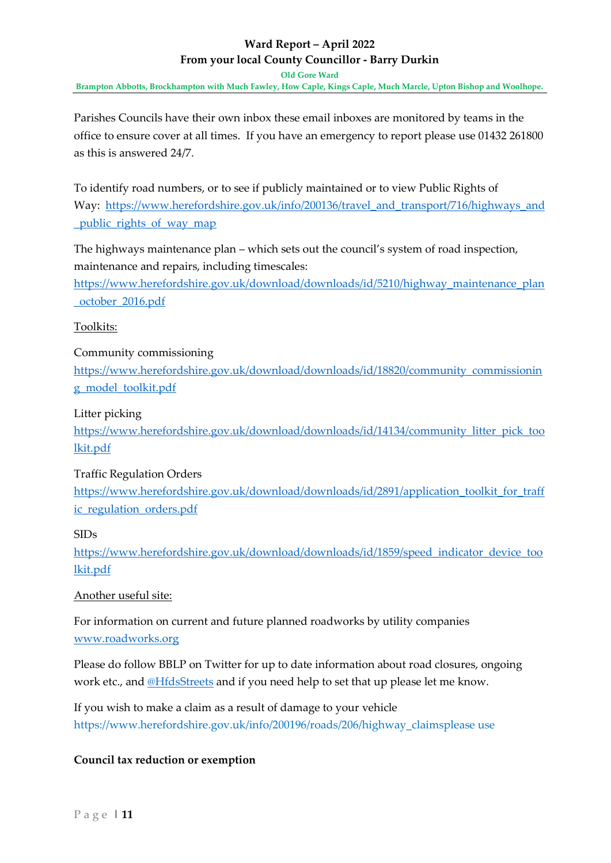**Old Gore Ward**

**Brampton Abbotts, Brockhampton with Much Fawley, How Caple, Kings Caple, Much Marcle, Upton Bishop and Woolhope.** 

Parishes Councils have their own inbox these email inboxes are monitored by teams in the office to ensure cover at all times. If you have an emergency to report please use 01432 261800 as this is answered 24/7.

To identify road numbers, or to see if publicly maintained or to view Public Rights of Way: [https://www.herefordshire.gov.uk/info/200136/travel\\_and\\_transport/716/highways\\_and](https://www.herefordshire.gov.uk/info/200136/travel_and_transport/716/highways_and_public_rights_of_way_map) [\\_public\\_rights\\_of\\_way\\_map](https://www.herefordshire.gov.uk/info/200136/travel_and_transport/716/highways_and_public_rights_of_way_map)

The highways maintenance plan – which sets out the council's system of road inspection, maintenance and repairs, including timescales:

[https://www.herefordshire.gov.uk/download/downloads/id/5210/highway\\_maintenance\\_plan](https://www.herefordshire.gov.uk/download/downloads/id/5210/highway_maintenance_plan_october_2016.pdf) [\\_october\\_2016.pdf](https://www.herefordshire.gov.uk/download/downloads/id/5210/highway_maintenance_plan_october_2016.pdf)

### Toolkits:

### Community commissioning

[https://www.herefordshire.gov.uk/download/downloads/id/18820/community\\_commissionin](https://www.herefordshire.gov.uk/download/downloads/id/18820/community_commissioning_model_toolkit.pdf) [g\\_model\\_toolkit.pdf](https://www.herefordshire.gov.uk/download/downloads/id/18820/community_commissioning_model_toolkit.pdf)

### Litter picking

[https://www.herefordshire.gov.uk/download/downloads/id/14134/community\\_litter\\_pick\\_too](https://www.herefordshire.gov.uk/download/downloads/id/14134/community_litter_pick_toolkit.pdf) [lkit.pdf](https://www.herefordshire.gov.uk/download/downloads/id/14134/community_litter_pick_toolkit.pdf)

### Traffic Regulation Orders

[https://www.herefordshire.gov.uk/download/downloads/id/2891/application\\_toolkit\\_for\\_traff](https://www.herefordshire.gov.uk/download/downloads/id/2891/application_toolkit_for_traffic_regulation_orders.pdf) [ic\\_regulation\\_orders.pdf](https://www.herefordshire.gov.uk/download/downloads/id/2891/application_toolkit_for_traffic_regulation_orders.pdf)

### SIDs

[https://www.herefordshire.gov.uk/download/downloads/id/1859/speed\\_indicator\\_device\\_too](https://www.herefordshire.gov.uk/download/downloads/id/1859/speed_indicator_device_toolkit.pdf) [lkit.pdf](https://www.herefordshire.gov.uk/download/downloads/id/1859/speed_indicator_device_toolkit.pdf)

### Another useful site:

For information on current and future planned roadworks by utility companies [www.roadworks.org](http://www.roadworks.org/)

Please do follow BBLP on Twitter for up to date information about road closures, ongoing work etc., and @HfdsStreets and if you need help to set that up please let me know.

If you wish to make a claim as a result of damage to your vehicle https://www.herefordshire.gov.uk/info/200196/roads/206/highway\_claimsplease use

### **Council tax reduction or exemption**